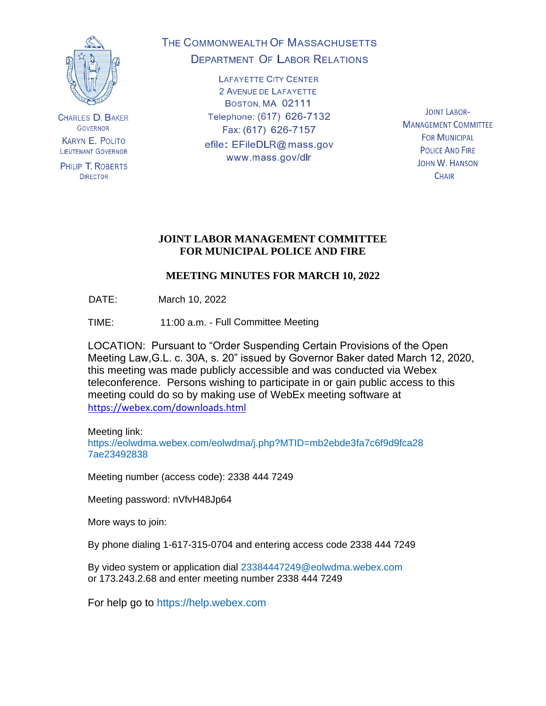

**CHARLES D. BAKER GOVERNOR KARYN E. POLITO LIEUTENANT GOVERNOR** 

PHILIP T. ROBERTS **DIRECTOR** 

# THE COMMONWEALTH OF MASSACHUSETTS **DEPARTMENT OF LABOR RELATIONS**

**LAFAYETTE CITY CENTER** 2 AVENUE DE LAFAYETTE BOSTON, MA 02111 Telephone: (617) 626-7132 Fax: (617) 626-7157 efile: EFileDLR@mass.gov www.mass.gov/dlr

**JOINT LABOR-MANAGEMENT COMMITTEE FOR MUNICIPAL POLICE AND FIRE JOHN W. HANSON CHAIR** 

## **JOINT LABOR MANAGEMENT COMMITTEE FOR MUNICIPAL POLICE AND FIRE**

# **MEETING MINUTES FOR MARCH 10, 2022**

DATE: March 10, 2022

TIME: 11:00 a.m. - Full Committee Meeting

LOCATION: Pursuant to "Order Suspending Certain Provisions of the Open Meeting Law,G.L. c. 30A, s. 20" issued by Governor Baker dated March 12, 2020, this meeting was made publicly accessible and was conducted via Webex teleconference. Persons wishing to participate in or gain public access to this meeting could do so by making use of WebEx meeting software at <https://webex.com/downloads.html>

Meeting link: https://eolwdma.webex.com/eolwdma/j.php?MTID=mb2ebde3fa7c6f9d9fca28 7ae23492838

Meeting number (access code): 2338 444 7249

Meeting password: nVfvH48Jp64

More ways to join:

By phone dialing 1-617-315-0704 and entering access code 2338 444 7249

By video system or application dial 23384447249@eolwdma.webex.com or 173.243.2.68 and enter meeting number 2338 444 7249

For help go to https://help.webex.com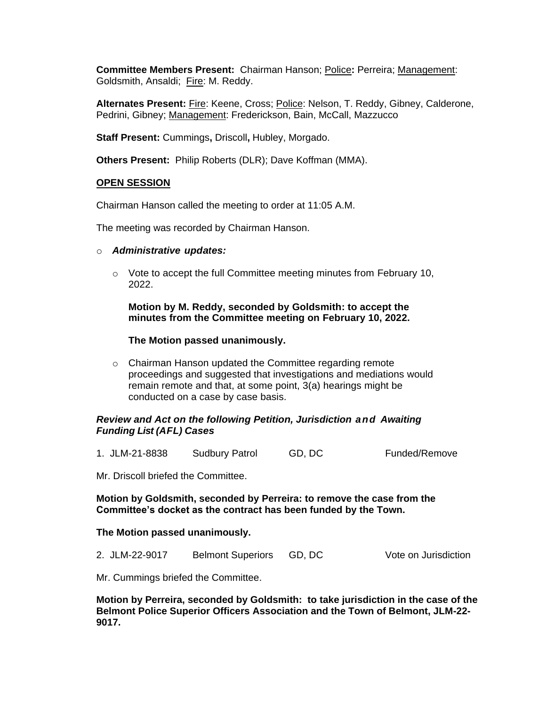**Committee Members Present:** Chairman Hanson; Police**:** Perreira; Management: Goldsmith, Ansaldi; Fire: M. Reddy.

**Alternates Present:** Fire: Keene, Cross; Police: Nelson, T. Reddy, Gibney, Calderone, Pedrini, Gibney; Management: Frederickson, Bain, McCall, Mazzucco

**Staff Present:** Cummings**,** Driscoll**,** Hubley, Morgado.

**Others Present:** Philip Roberts (DLR); Dave Koffman (MMA).

#### **OPEN SESSION**

Chairman Hanson called the meeting to order at 11:05 A.M.

The meeting was recorded by Chairman Hanson.

- o *Administrative updates:*
	- $\circ$  Vote to accept the full Committee meeting minutes from February 10, 2022.

**Motion by M. Reddy, seconded by Goldsmith: to accept the minutes from the Committee meeting on February 10, 2022.**

#### **The Motion passed unanimously.**

o Chairman Hanson updated the Committee regarding remote proceedings and suggested that investigations and mediations would remain remote and that, at some point, 3(a) hearings might be conducted on a case by case basis.

#### *Review and Act on the following Petition, Jurisdiction and Awaiting Funding List (AFL) Cases*

1. JLM-21-8838 Sudbury Patrol GD, DC Funded/Remove

Mr. Driscoll briefed the Committee.

#### **Motion by Goldsmith, seconded by Perreira: to remove the case from the Committee's docket as the contract has been funded by the Town.**

#### **The Motion passed unanimously.**

| GD, DC<br>2. JLM-22-9017<br><b>Belmont Superiors</b> | Vote on Jurisdiction |
|------------------------------------------------------|----------------------|
|------------------------------------------------------|----------------------|

Mr. Cummings briefed the Committee.

**Motion by Perreira, seconded by Goldsmith: to take jurisdiction in the case of the Belmont Police Superior Officers Association and the Town of Belmont, JLM-22- 9017.**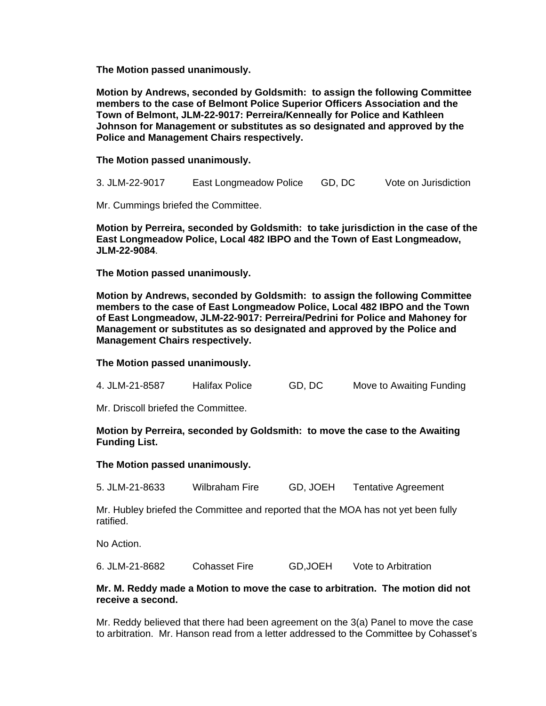**The Motion passed unanimously.**

**Motion by Andrews, seconded by Goldsmith: to assign the following Committee members to the case of Belmont Police Superior Officers Association and the Town of Belmont, JLM-22-9017: Perreira/Kenneally for Police and Kathleen Johnson for Management or substitutes as so designated and approved by the Police and Management Chairs respectively.**

**The Motion passed unanimously.**

3. JLM-22-9017 East Longmeadow Police GD, DC Vote on Jurisdiction

Mr. Cummings briefed the Committee.

**Motion by Perreira, seconded by Goldsmith: to take jurisdiction in the case of the East Longmeadow Police, Local 482 IBPO and the Town of East Longmeadow, JLM-22-9084**.

**The Motion passed unanimously.**

**Motion by Andrews, seconded by Goldsmith: to assign the following Committee members to the case of East Longmeadow Police, Local 482 IBPO and the Town of East Longmeadow, JLM-22-9017: Perreira/Pedrini for Police and Mahoney for Management or substitutes as so designated and approved by the Police and Management Chairs respectively.**

**The Motion passed unanimously.**

| 4. JLM-21-8587 | <b>Halifax Police</b> | GD, DC | Move to Awaiting Funding |
|----------------|-----------------------|--------|--------------------------|
|                |                       |        |                          |

Mr. Driscoll briefed the Committee.

**Motion by Perreira, seconded by Goldsmith: to move the case to the Awaiting Funding List.**

**The Motion passed unanimously.**

5. JLM-21-8633 Wilbraham Fire GD, JOEH Tentative Agreement

Mr. Hubley briefed the Committee and reported that the MOA has not yet been fully ratified.

No Action.

6. JLM-21-8682 Cohasset Fire GD,JOEH Vote to Arbitration

#### **Mr. M. Reddy made a Motion to move the case to arbitration. The motion did not receive a second.**

Mr. Reddy believed that there had been agreement on the 3(a) Panel to move the case to arbitration. Mr. Hanson read from a letter addressed to the Committee by Cohasset's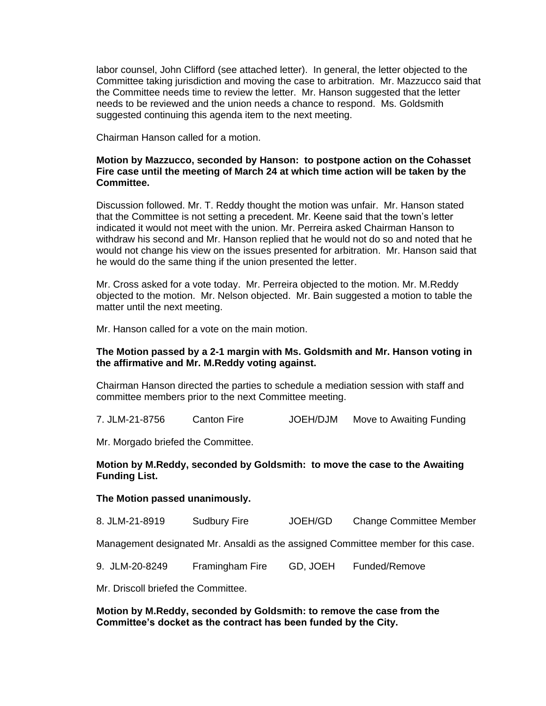labor counsel, John Clifford (see attached letter). In general, the letter objected to the Committee taking jurisdiction and moving the case to arbitration. Mr. Mazzucco said that the Committee needs time to review the letter. Mr. Hanson suggested that the letter needs to be reviewed and the union needs a chance to respond. Ms. Goldsmith suggested continuing this agenda item to the next meeting.

Chairman Hanson called for a motion.

#### **Motion by Mazzucco, seconded by Hanson: to postpone action on the Cohasset Fire case until the meeting of March 24 at which time action will be taken by the Committee.**

Discussion followed. Mr. T. Reddy thought the motion was unfair. Mr. Hanson stated that the Committee is not setting a precedent. Mr. Keene said that the town's letter indicated it would not meet with the union. Mr. Perreira asked Chairman Hanson to withdraw his second and Mr. Hanson replied that he would not do so and noted that he would not change his view on the issues presented for arbitration. Mr. Hanson said that he would do the same thing if the union presented the letter.

Mr. Cross asked for a vote today. Mr. Perreira objected to the motion. Mr. M.Reddy objected to the motion. Mr. Nelson objected. Mr. Bain suggested a motion to table the matter until the next meeting.

Mr. Hanson called for a vote on the main motion.

#### **The Motion passed by a 2-1 margin with Ms. Goldsmith and Mr. Hanson voting in the affirmative and Mr. M.Reddy voting against.**

Chairman Hanson directed the parties to schedule a mediation session with staff and committee members prior to the next Committee meeting.

7. JLM-21-8756 Canton Fire JOEH/DJM Move to Awaiting Funding

Mr. Morgado briefed the Committee.

#### **Motion by M.Reddy, seconded by Goldsmith: to move the case to the Awaiting Funding List.**

#### **The Motion passed unanimously.**

8. JLM-21-8919 Sudbury Fire JOEH/GD Change Committee Member

Management designated Mr. Ansaldi as the assigned Committee member for this case.

9. JLM-20-8249 Framingham Fire GD, JOEH Funded/Remove

Mr. Driscoll briefed the Committee.

**Motion by M.Reddy, seconded by Goldsmith: to remove the case from the Committee's docket as the contract has been funded by the City.**